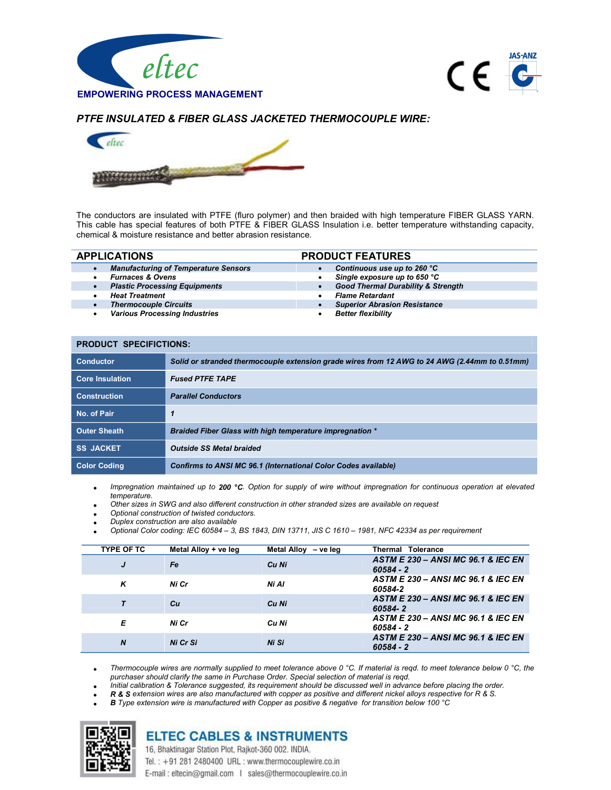



## PTFE INSULATED & FIBER GLASS JACKETED THERMOCOUPLE WIRE:



The conductors are insulated with PTFE (fluro polymer) and then braided with high temperature FIBER GLASS YARN. This cable has special features of both PTFE & FIBER GLASS Insulation i.e. better temperature withstanding capacity, chemical & moisture resistance and better abrasion resistance.

| <b>APPLICATIONS</b>                                      | <b>PRODUCT FEATURES</b>                       |
|----------------------------------------------------------|-----------------------------------------------|
| <b>Manufacturing of Temperature Sensors</b><br>$\bullet$ | Continuous use up to 260 °C                   |
| <b>Furnaces &amp; Ovens</b><br>٠                         | Single exposure up to 650 °C<br>٠             |
| <b>Plastic Processing Equipments</b><br>$\bullet$        | <b>Good Thermal Durability &amp; Strength</b> |
| <b>Heat Treatment</b>                                    | <b>Flame Retardant</b>                        |
| <b>Thermocouple Circuits</b><br>$\bullet$                | <b>Superior Abrasion Resistance</b>           |
| <b>Various Processing Industries</b><br>٠                | <b>Better flexibility</b>                     |

| PRODUCT SPECIFICTIONS: |                                                                                               |  |
|------------------------|-----------------------------------------------------------------------------------------------|--|
| <b>Conductor</b>       | Solid or stranded thermocouple extension grade wires from 12 AWG to 24 AWG (2.44mm to 0.51mm) |  |
| <b>Core Insulation</b> | <b>Fused PTFE TAPE</b>                                                                        |  |
| <b>Construction</b>    | <b>Parallel Conductors</b>                                                                    |  |
| No. of Pair            | 1                                                                                             |  |
| <b>Outer Sheath</b>    | <b>Braided Fiber Glass with high temperature impregnation *</b>                               |  |
| <b>SS JACKET</b>       | <b>Outside SS Metal braided</b>                                                               |  |
| <b>Color Coding</b>    | Confirms to ANSI MC 96.1 (International Color Codes available)                                |  |

Impregnation maintained up to 200 °C. Option for supply of wire without impregnation for continuous operation at elevated temperature.

Other sizes in SWG and also different construction in other stranded sizes are available on request

Optional construction of twisted conductors.

Duplex construction are also available

PRODUCT SPECIFICTIONS:

Optional Color coding: IEC 60584 – 3, BS 1843, DIN 13711, JIS C 1610 – 1981, NFC 42334 as per requirement

| <b>TYPE OF TC</b> | Metal Alloy + ve leg | Metal Alloy - ve leg | <b>Thermal Tolerance</b>                                     |
|-------------------|----------------------|----------------------|--------------------------------------------------------------|
| J                 | Fe                   | Cu Ni                | <b>ASTM E 230 - ANSI MC 96.1 &amp; IEC EN</b><br>$60584 - 2$ |
| ĸ                 | Ni Cr                | Ni Al                | <b>ASTM E 230 - ANSI MC 96.1 &amp; IEC EN</b><br>60584-2     |
|                   | Cн                   | Cu Ni                | ASTM E 230 - ANSI MC 96.1 & IEC EN<br>60584-2                |
| Е                 | Ni Cr                | Cu Ni                | ASTM E 230 - ANSI MC 96.1 & IEC EN<br>60584 - 2              |
| $\boldsymbol{N}$  | Ni Cr Si             | Ni Si                | ASTM E 230 - ANSI MC 96.1 & IEC EN<br>$60584 - 2$            |

Thermocouple wires are normally supplied to meet tolerance above 0 °C. If material is reqd. to meet tolerance below 0 °C, the purchaser should clarify the same in Purchase Order. Special selection of material is reqd.

Initial calibration & Tolerance suggested, its requirement should be discussed well in advance before placing the order.

- R & S extension wires are also manufactured with copper as positive and different nickel alloys respective for R & S.
- B Type extension wire is manufactured with Copper as positive & negative for transition below 100 °C



## **ELTEC CABLES & INSTRUMENTS** 16, Bhaktinagar Station Plot, Rajkot-360 002. INDIA.

Tel.: +91 281 2480400 URL: www.thermocouplewire.co.in E-mail: eltecin@gmail.com | sales@thermocouplewire.co.in